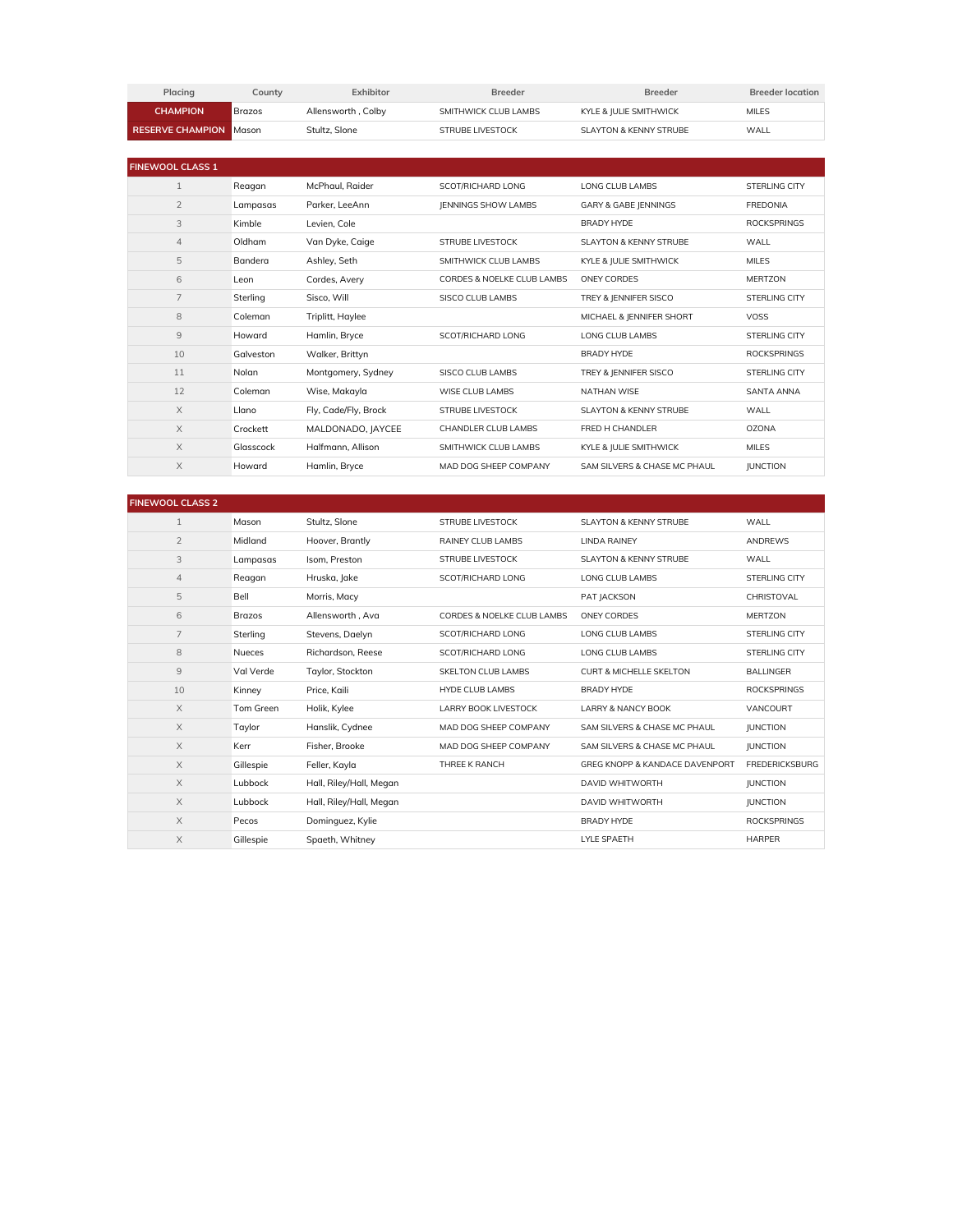| <b>Placina</b>                | Countv        | Exhibitor          | <b>Breeder</b>       | <b>Breeder</b>         | <b>Breeder location</b> |
|-------------------------------|---------------|--------------------|----------------------|------------------------|-------------------------|
| <b>CHAMPION</b>               | <b>Brazos</b> | Allensworth, Colby | SMITHWICK CLUB LAMBS | KYLE & IULIE SMITHWICK | <b>MILES</b>            |
| <b>RESERVE CHAMPION Moson</b> |               | Stultz, Slone      | STRUBE LIVESTOCK     | SLAYTON & KENNY STRUBE | WALL                    |

| <b>FINEWOOL CLASS 1</b> |                |                      |                            |                                   |                      |
|-------------------------|----------------|----------------------|----------------------------|-----------------------------------|----------------------|
| $\mathbf{1}$            | Reagan         | McPhaul, Raider      | SCOT/RICHARD LONG          | LONG CLUB LAMBS                   | <b>STERLING CITY</b> |
| $\overline{2}$          | Lampasas       | Parker, LeeAnn       | <b>IENNINGS SHOW LAMBS</b> | <b>GARY &amp; GABE JENNINGS</b>   | <b>FREDONIA</b>      |
| 3                       | Kimble         | Levien, Cole         |                            | <b>BRADY HYDE</b>                 | <b>ROCKSPRINGS</b>   |
| $\overline{4}$          | Oldham         | Van Dyke, Caige      | <b>STRUBE LIVESTOCK</b>    | <b>SLAYTON &amp; KENNY STRUBE</b> | WALL                 |
| 5                       | <b>Bandera</b> | Ashley, Seth         | SMITHWICK CLUB LAMBS       | KYLE & JULIE SMITHWICK            | <b>MILES</b>         |
| 6                       | Leon           | Cordes, Avery        | CORDES & NOELKE CLUB LAMBS | ONEY CORDES                       | <b>MERTZON</b>       |
| 7                       | Sterling       | Sisco, Will          | SISCO CLUB LAMBS           | TREY & JENNIFER SISCO             | <b>STERLING CITY</b> |
| 8                       | Coleman        | Triplitt, Haylee     |                            | MICHAEL & JENNIFER SHORT          | <b>VOSS</b>          |
| 9                       | Howard         | Hamlin, Bryce        | SCOT/RICHARD LONG          | LONG CLUB LAMBS                   | <b>STERLING CITY</b> |
| 10                      | Galveston      | Walker, Brittyn      |                            | <b>BRADY HYDE</b>                 | <b>ROCKSPRINGS</b>   |
| 11                      | Nolan          | Montgomery, Sydney   | SISCO CLUB LAMBS           | TREY & JENNIFER SISCO             | <b>STERLING CITY</b> |
| 12                      | Coleman        | Wise, Makayla        | WISE CLUB LAMBS            | <b>NATHAN WISE</b>                | <b>SANTA ANNA</b>    |
| $\times$                | Llano          | Fly, Cade/Fly, Brock | <b>STRUBE LIVESTOCK</b>    | <b>SLAYTON &amp; KENNY STRUBE</b> | WALL                 |
| $\times$                | Crockett       | MALDONADO, JAYCEE    | CHANDLER CLUB LAMBS        | FRED H CHANDLER                   | <b>OZONA</b>         |
| X                       | Glasscock      | Halfmann, Allison    | SMITHWICK CLUB LAMBS       | KYLE & JULIE SMITHWICK            | <b>MILES</b>         |
| X                       | Howard         | Hamlin, Bryce        | MAD DOG SHEEP COMPANY      | SAM SILVERS & CHASE MC PHAUL      | <b>JUNCTION</b>      |

| <b>FINEWOOL CLASS 2</b> |               |                         |                                       |                                           |                       |
|-------------------------|---------------|-------------------------|---------------------------------------|-------------------------------------------|-----------------------|
| $\mathbf{1}$            | Mason         | Stultz, Slone           | <b>STRUBE LIVESTOCK</b>               | <b>SLAYTON &amp; KENNY STRUBE</b>         | WALL                  |
| $\overline{2}$          | Midland       | Hoover, Brantly         | <b>RAINEY CLUB LAMBS</b>              | <b>LINDA RAINEY</b>                       | <b>ANDREWS</b>        |
| 3                       | Lampasas      | Isom, Preston           | <b>STRUBE LIVESTOCK</b>               | <b>SLAYTON &amp; KENNY STRUBE</b>         | WALL                  |
| $\overline{4}$          | Reagan        | Hruska, Jake            | SCOT/RICHARD LONG                     | LONG CLUB LAMBS                           | <b>STERLING CITY</b>  |
| 5                       | Bell          | Morris, Macy            |                                       | PAT JACKSON                               | CHRISTOVAL            |
| 6                       | <b>Brazos</b> | Allensworth, Ava        | <b>CORDES &amp; NOELKE CLUB LAMBS</b> | ONEY CORDES                               | <b>MERTZON</b>        |
| 7                       | Sterling      | Stevens, Daelyn         | SCOT/RICHARD LONG                     | LONG CLUB LAMBS                           | <b>STERLING CITY</b>  |
| 8                       | Nueces        | Richardson, Reese       | SCOT/RICHARD LONG                     | LONG CLUB LAMBS                           | <b>STERLING CITY</b>  |
| $\overline{9}$          | Val Verde     | Taylor, Stockton        | <b>SKELTON CLUB LAMBS</b>             | <b>CURT &amp; MICHELLE SKELTON</b>        | <b>BALLINGER</b>      |
| 10                      | Kinney        | Price, Kaili            | <b>HYDE CLUB LAMBS</b>                | <b>BRADY HYDE</b>                         | <b>ROCKSPRINGS</b>    |
| $\times$                | Tom Green     | Holik, Kylee            | <b>LARRY BOOK LIVESTOCK</b>           | <b>LARRY &amp; NANCY BOOK</b>             | VANCOURT              |
| $\times$                | Taylor        | Hanslik, Cydnee         | MAD DOG SHEEP COMPANY                 | SAM SILVERS & CHASE MC PHAUL              | <b>JUNCTION</b>       |
| $\times$                | Kerr          | Fisher, Brooke          | MAD DOG SHEEP COMPANY                 | SAM SILVERS & CHASE MC PHAUL              | <b>JUNCTION</b>       |
| $\times$                | Gillespie     | Feller, Kayla           | THREE K RANCH                         | <b>GREG KNOPP &amp; KANDACE DAVENPORT</b> | <b>FREDERICKSBURG</b> |
| $\times$                | Lubbock       | Hall, Riley/Hall, Megan |                                       | <b>DAVID WHITWORTH</b>                    | <b>JUNCTION</b>       |
| $\times$                | Lubbock       | Hall, Riley/Hall, Megan |                                       | DAVID WHITWORTH                           | <b>JUNCTION</b>       |
| $\times$                | Pecos         | Dominguez, Kylie        |                                       | <b>BRADY HYDE</b>                         | <b>ROCKSPRINGS</b>    |
| X                       | Gillespie     | Spaeth, Whitney         |                                       | <b>LYLE SPAETH</b>                        | <b>HARPER</b>         |